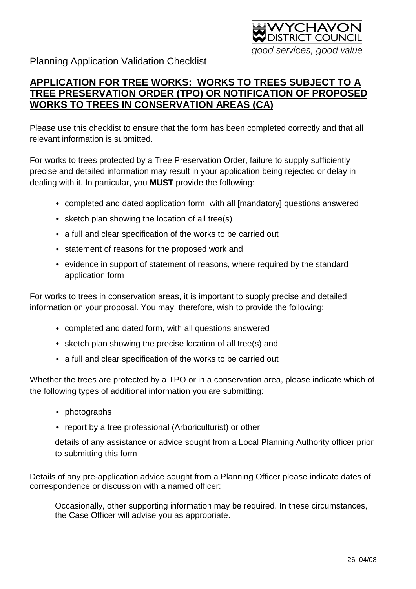

Planning Application Validation Checklist

## **APPLICATION FOR TREE WORKS: WORKS TO TREES SUBJECT TO A TREE PRESERVATION ORDER (TPO) OR NOTIFICATION OF PROPOSED WORKS TO TREES IN CONSERVATION AREAS (CA)**

Please use this checklist to ensure that the form has been completed correctly and that all relevant information is submitted.

For works to trees protected by a Tree Preservation Order, failure to supply sufficiently precise and detailed information may result in your application being rejected or delay in dealing with it. In particular, you **MUST** provide the following:

- completed and dated application form, with all [mandatory] questions answered
- sketch plan showing the location of all tree(s)
- a full and clear specification of the works to be carried out
- statement of reasons for the proposed work and
- evidence in support of statement of reasons, where required by the standard application form

For works to trees in conservation areas, it is important to supply precise and detailed information on your proposal. You may, therefore, wish to provide the following:

- completed and dated form, with all questions answered
- sketch plan showing the precise location of all tree(s) and
- a full and clear specification of the works to be carried out

Whether the trees are protected by a TPO or in a conservation area, please indicate which of the following types of additional information you are submitting:

- photographs
- report by a tree professional (Arboriculturist) or other

details of any assistance or advice sought from a Local Planning Authority officer prior to submitting this form

Details of any pre-application advice sought from a Planning Officer please indicate dates of correspondence or discussion with a named officer:

Occasionally, other supporting information may be required. In these circumstances, the Case Officer will advise you as appropriate.